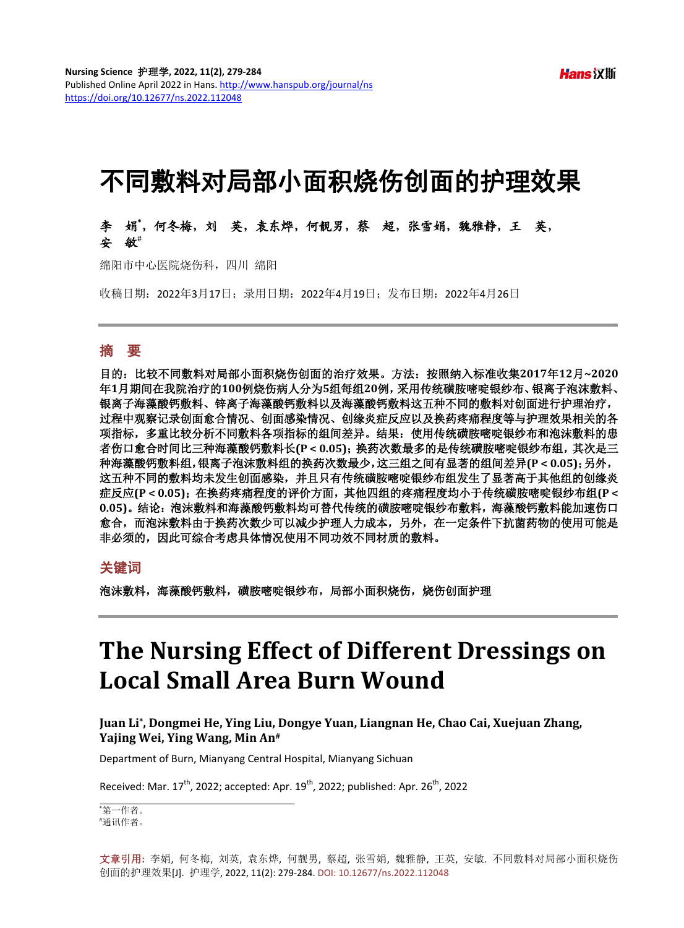# 不同敷料对局部小面积烧伤创面的护理效果

李娟**\*** ,何冬梅,刘英,袁东烨,何靓男,蔡超,张雪娟,魏雅静,王英, 安敏**#**

绵阳市中心医院烧伤科,四川 绵阳

收稿日期:2022年3月17日;录用日期:2022年4月19日;发布日期:2022年4月26日

## 摘 要

目的:比较不同敷料对局部小面积烧伤创面的治疗效果。方法:按照纳入标准收集**2017**年**12**月**~2020** 年**1**月期间在我院治疗的**100**例烧伤病人分为**5**组每组**20**例,采用传统磺胺嘧啶银纱布、银离子泡沫敷料、 银离子海藻酸钙敷料、锌离子海藻酸钙敷料以及海藻酸钙敷料这五种不同的敷料对创面进行护理治疗, 过程中观察记录创面愈合情况、创面感染情况、创缘炎症反应以及换药疼痛程度等与护理效果相关的各 项指标,多重比较分析不同敷料各项指标的组间差异。结果:使用传统磺胺嘧啶银纱布和泡沫敷料的患 者伤口愈合时间比三种海藻酸钙敷料长**(P < 0.05)**;换药次数最多的是传统磺胺嘧啶银纱布组,其次是三 种海藻酸钙敷料组,银离子泡沫敷料组的换药次数最少,这三组之间有显著的组间差异**(P < 0.05)**;另外, 这五种不同的敷料均未发生创面感染,并且只有传统磺胺嘧啶银纱布组发生了显著高于其他组的创缘炎 症反应**(P < 0.05)**;在换药疼痛程度的评价方面,其他四组的疼痛程度均小于传统磺胺嘧啶银纱布组**(P <** 0.05)。结论: 泡沫敷料和海藻酸钙敷料均可替代传统的磺胺嘧啶银纱布敷料,海藻酸钙敷料能加速伤口 愈合,而泡沫敷料由于换药次数少可以减少护理人力成本,另外,在一定条件下抗菌药物的使用可能是 非必须的,因此可综合考虑具体情况使用不同功效不同材质的敷料。

#### 关键词

泡沫敷料,海藻酸钙敷料,磺胺嘧啶银纱布,局部小面积烧伤,烧伤创面护理

# **The Nursing Effect of Different Dressings on Local Small Area Burn Wound**

**Juan Li\*, Dongmei He, Ying Liu, Dongye Yuan, Liangnan He, Chao Cai, Xuejuan Zhang, Yajing Wei, Ying Wang, Min An#**

Department of Burn, Mianyang Central Hospital, Mianyang Sichuan

Received: Mar.  $17^{\text{th}}$ , 2022; accepted: Apr.  $19^{\text{th}}$ , 2022; published: Apr.  $26^{\text{th}}$ , 2022.

\* 第一作者。 # 通讯作者。

文章引用**:** 李娟, 何冬梅, 刘英, 袁东烨, 何靓男, 蔡超, 张雪娟, 魏雅静, 王英, 安敏. 不同敷料对局部小面积烧伤 创面的护理效果[J]. 护理学, 2022, 11(2): 279-284. DOI: [10.12677/ns.2022.112048](https://doi.org/10.12677/ns.2022.112048)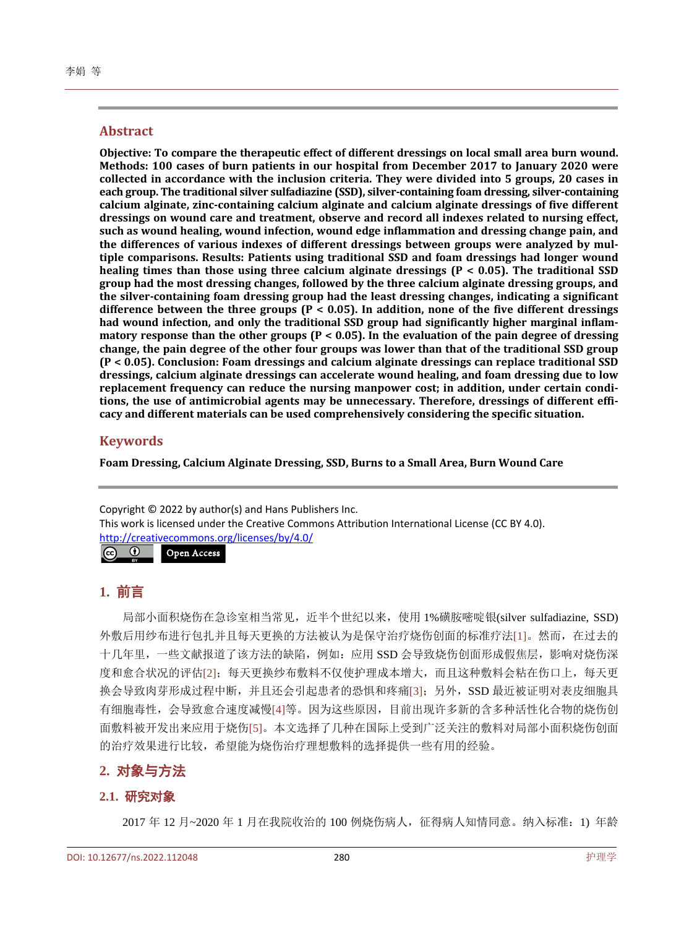#### **Abstract**

**Objective: To compare the therapeutic effect of different dressings on local small area burn wound. Methods: 100 cases of burn patients in our hospital from December 2017 to January 2020 were collected in accordance with the inclusion criteria. They were divided into 5 groups, 20 cases in each group. The traditional silver sulfadiazine (SSD), silver-containing foam dressing, silver-containing calcium alginate, zinc-containing calcium alginate and calcium alginate dressings of five different dressings on wound care and treatment, observe and record all indexes related to nursing effect, such as wound healing, wound infection, wound edge inflammation and dressing change pain, and the differences of various indexes of different dressings between groups were analyzed by multiple comparisons. Results: Patients using traditional SSD and foam dressings had longer wound healing times than those using three calcium alginate dressings (P < 0.05). The traditional SSD group had the most dressing changes, followed by the three calcium alginate dressing groups, and the silver-containing foam dressing group had the least dressing changes, indicating a significant difference between the three groups (P < 0.05). In addition, none of the five different dressings had wound infection, and only the traditional SSD group had significantly higher marginal inflammatory response than the other groups (P < 0.05). In the evaluation of the pain degree of dressing change, the pain degree of the other four groups was lower than that of the traditional SSD group (P < 0.05). Conclusion: Foam dressings and calcium alginate dressings can replace traditional SSD dressings, calcium alginate dressings can accelerate wound healing, and foam dressing due to low replacement frequency can reduce the nursing manpower cost; in addition, under certain conditions, the use of antimicrobial agents may be unnecessary. Therefore, dressings of different efficacy and different materials can be used comprehensively considering the specific situation.**

#### **Keywords**

**Foam Dressing, Calcium Alginate Dressing, SSD, Burns to a Small Area, Burn Wound Care**

Copyright © 2022 by author(s) and Hans Publishers Inc. This work is licensed under the Creative Commons Attribution International License (CC BY 4.0). <http://creativecommons.org/licenses/by/4.0/>

 $\left[$  (cc)  $\odot$ Open Access

## **1.** 前言

局部小面积烧伤在急诊室相当常见,近半个世纪以来,使用 1%磺胺嘧啶银(silver sulfadiazine, SSD) 外敷后用纱布进行包扎并且每天更换的方法被认为是保守治疗烧伤创面的标准疗法[\[1\]](#page-4-0)。然而,在过去的 十几年里,一些文献报道了该方法的缺陷,例如:应用 SSD 会导致烧伤创面形成假焦层,影响对烧伤深 度和愈合状况的评估[\[2\]](#page-4-1);每天更换纱布敷料不仅使护理成本增大,而且这种敷料会粘在伤口上,每天更 换会导致肉芽形成过程中断,并且还会引起患者的恐惧和疼痛[\[3\]](#page-4-2);另外,SSD 最近被证明对表皮细胞具 有细胞毒性,会导致愈合速度减慢[\[4\]](#page-4-3)等。因为这些原因,目前出现许多新的含多种活性化合物的烧伤创 面敷料被开发出来应用于烧伤[\[5\]](#page-4-4)。本文选择了几种在国际上受到广泛关注的敷料对局部小面积烧伤创面 的治疗效果进行比较,希望能为烧伤治疗理想敷料的选择提供一些有用的经验。

## **2.** 对象与方法

#### **2.1.** 研究对象

2017 年 12 月~2020 年 1 月在我院收治的 100 例烧伤病人,征得病人知情同意。纳入标准:1) 年龄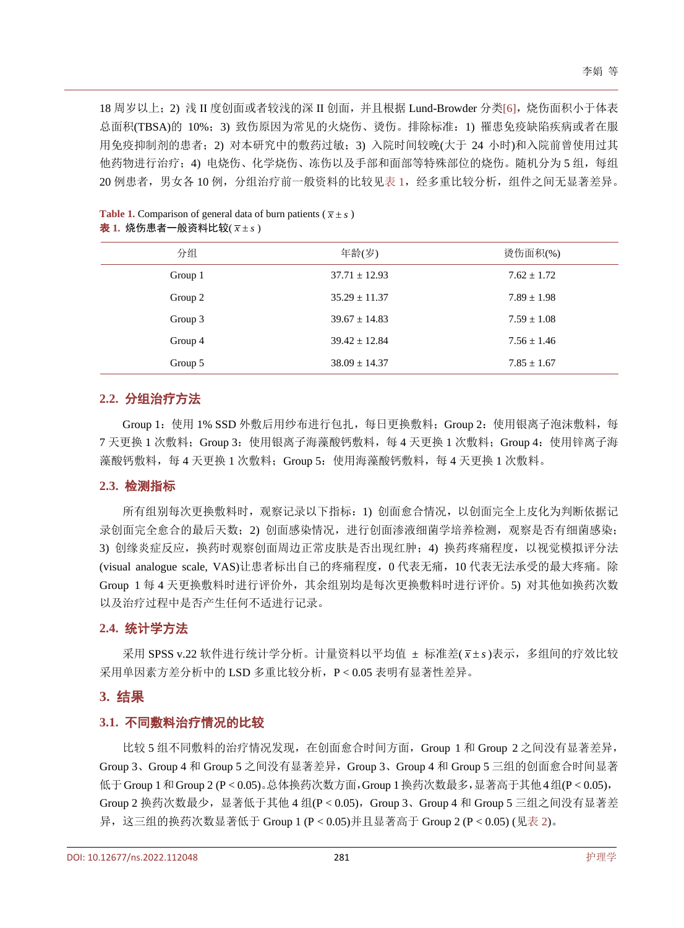18 周岁以上;2) 浅 II 度创面或者较浅的深 II 创面,并且根据 Lund-Browder 分类[\[6\]](#page-4-5),烧伤面积小于体表 总面积(TBSA)的 10%;3) 致伤原因为常见的火烧伤、烫伤。排除标准: 1) 罹患免疫缺陷疾病或者在服 用免疫抑制剂的患者;2) 对本研究中的敷药过敏;3) 入院时间较晚(大于 24 小时)和入院前曾使用过其 他药物进行治疗;4) 电烧伤、化学烧伤、冻伤以及手部和面部等特殊部位的烧伤。随机分为 5 组,每组 20 例患者, 男女各 10 例, 分组治疗前一般资料的比较[见表](#page-2-0) 1, 经多重比较分析, 组件之间无显著差异。

| 分组      | 年龄(岁)             | 烫伤面积(%)         |
|---------|-------------------|-----------------|
| Group 1 | $37.71 \pm 12.93$ | $7.62 + 1.72$   |
| Group 2 | $35.29 \pm 11.37$ | $7.89 \pm 1.98$ |
| Group 3 | $39.67 \pm 14.83$ | $7.59 \pm 1.08$ |
| Group 4 | $39.42 \pm 12.84$ | $7.56 \pm 1.46$ |
| Group 5 | $38.09 \pm 14.37$ | $7.85 \pm 1.67$ |

<span id="page-2-0"></span>**Table 1.** Comparison of general data of burn patients ( $\bar{x} \pm s$ ) 表 1. 烧伤患者一般资料比较(  $\bar{x} \pm s$ )

#### **2.2.** 分组治疗方法

Group 1: 使用 1% SSD 外敷后用纱布进行包扎, 每日更换敷料; Group 2: 使用银离子泡沫敷料, 每 7 天更换 1 次敷料; Group 3: 使用银离子海藻酸钙敷料, 每 4 天更换 1 次敷料; Group 4: 使用锌离子海 藻酸钙敷料,每 4 天更换 1 次敷料; Group 5: 使用海藻酸钙敷料,每 4 天更换 1 次敷料。

#### **2.3.** 检测指标

所有组别每次更换敷料时,观察记录以下指标:1) 创面愈合情况,以创面完全上皮化为判断依据记 录创面完全愈合的最后天数;2) 创面感染情况,进行创面渗液细菌学培养检测,观察是否有细菌感染; 3) 创缘炎症反应,换药时观察创面周边正常皮肤是否出现红肿;4) 换药疼痛程度,以视觉模拟评分法 (visual analogue scale, VAS)让患者标出自己的疼痛程度,0 代表无痛,10 代表无法承受的最大疼痛。除 Group 1 每 4 天更换敷料时进行评价外,其余组别均是每次更换敷料时进行评价。5) 对其他如换药次数 以及治疗过程中是否产生任何不适进行记录。

#### **2.4.** 统计学方法

采用 SPSS v.22 软件进行统计学分析。计量资料以平均值 ± 标准差( x ± s)表示, 多组间的疗效比较 采用单因素方差分析中的 LSD 多重比较分析,P < 0.05 表明有显著性差异。

#### **3.** 结果

#### **3.1.** 不同敷料治疗情况的比较

比较 5 组不同敷料的治疗情况发现,在创面愈合时间方面,Group 1 和 Group 2 之间没有显著差异, Group 3、Group 4 和 Group 5 之间没有显著差异,Group 3、Group 4 和 Group 5 三组的创面愈合时间显著 低于Group 1和Group 2 (P < 0.05)。总体换药次数方面,Group 1换药次数最多,显著高于其他4组(P < 0.05), Group 2 换药次数最少, 显著低于其他 4 组(P < 0.05), Group 3、Group 4 和 Group 5 三组之间没有显著差 异,这三组的换药次数显著低于 Group 1 (P < 0.05)并且显著高于 Group 2 (P < 0.05) ([见表](#page-3-0) 2)。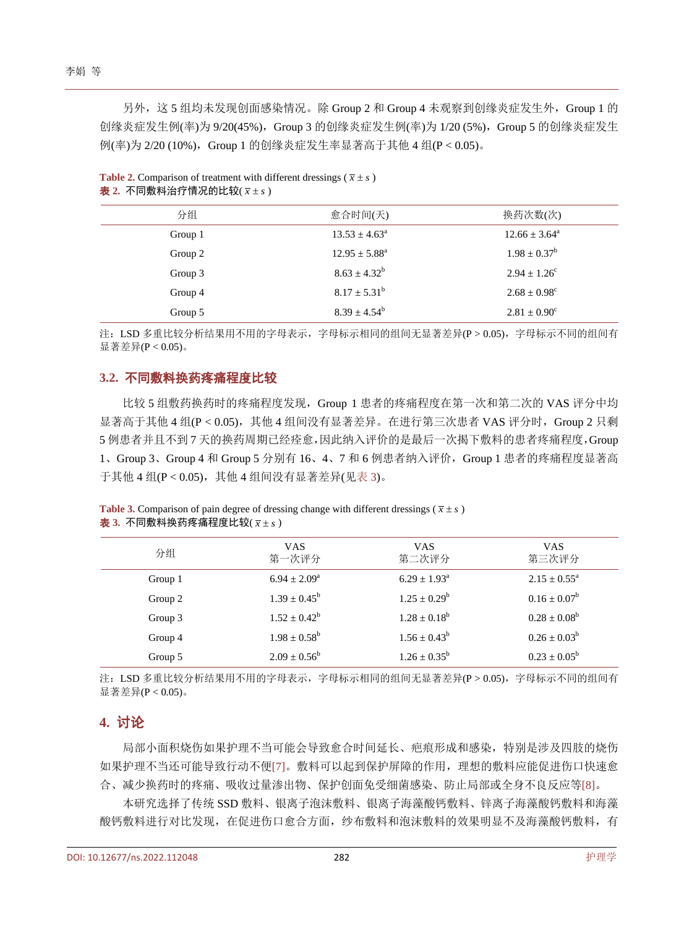另外,这 5 组均未发现创面感染情况。除 Group 2 和 Group 4 未观察到创缘炎症发生外,Group 1 的 创缘炎症发生例(率)为 9/20(45%),Group 3 的创缘炎症发生例(率)为 1/20 (5%),Group 5 的创缘炎症发生 例(率)为 2/20 (10%), Group 1 的创缘炎症发生率显著高于其他 4 组(P < 0.05)。

| 分组      | 愈合时间(天)                  | 换药次数(次)                  |
|---------|--------------------------|--------------------------|
| Group 1 | $13.53 \pm 4.63^{\circ}$ | $12.66 \pm 3.64^{\circ}$ |
| Group 2 | $12.95 \pm 5.88^a$       | $1.98 \pm 0.37^b$        |
| Group 3 | $8.63 \pm 4.32^b$        | $2.94 \pm 1.26^{\circ}$  |
| Group 4 | $8.17 \pm 5.31^b$        | $2.68 \pm 0.98^c$        |
| Group 5 | $8.39 \pm 4.54^b$        | $2.81 \pm 0.90^{\circ}$  |

<span id="page-3-0"></span>**Table 2.** Comparison of treatment with different dressings ( $\bar{x} \pm s$ )  $\pm$  2. 不同敷料治疗情况的比较( $\bar{x}$ ±s)

注: LSD 多重比较分析结果用不用的字母表示,字母标示相同的组间无显著差异(P > 0.05),字母标示不同的组间有 显著差异(P < 0.05)。

#### **3.2.** 不同敷料换药疼痛程度比较

比较 5 组敷药换药时的疼痛程度发现,Group 1 患者的疼痛程度在第一次和第二次的 VAS 评分中均 显著高于其他 4 组(P < 0.05), 其他 4 组间没有显著差异。在进行第三次患者 VAS 评分时, Group 2 只剩 5 例患者并且不到 7 天的换药周期已经痊愈,因此纳入评价的是最后一次揭下敷料的患者疼痛程度,Group 1、Group 3、Group 4 和 Group 5 分别有 16、4、7 和 6 例患者纳入评价,Group 1 患者的疼痛程度显著高 于其他 4 组(P < 0.05), 其他 4 组间没有显著差异([见表](#page-3-1) 3)。

<span id="page-3-1"></span>**Table 3.** Comparison of pain degree of dressing change with different dressings ( $\bar{x} \pm s$ ) 表 3. 不同敷料换药疼痛程度比较( $\bar{x} \pm s$ )

| 分组      | <b>VAS</b><br>第一次评分     | <b>VAS</b><br>第二次评分        | <b>VAS</b><br>第三次评分        |
|---------|-------------------------|----------------------------|----------------------------|
| Group 1 | $6.94 \pm 2.09^{\circ}$ | $6.29 \pm 1.93^{\text{a}}$ | $2.15 \pm 0.55^{\text{a}}$ |
| Group 2 | $1.39 \pm 0.45^{\rm b}$ | $1.25 \pm 0.29^b$          | $0.16 \pm 0.07^b$          |
| Group 3 | $1.52 + 0.42^b$         | $1.28 + 0.18^b$            | $0.28 \pm 0.08^b$          |
| Group 4 | $1.98 \pm 0.58^b$       | $1.56 \pm 0.43^b$          | $0.26 \pm 0.03^b$          |
| Group 5 | $2.09 \pm 0.56^b$       | $1.26 \pm 0.35^b$          | $0.23 \pm 0.05^b$          |

注: LSD 多重比较分析结果用不用的字母表示,字母标示相同的组间无显著差异(P > 0.05),字母标示不同的组间有 显著差异(P < 0.05)。

## **4.** 讨论

局部小面积烧伤如果护理不当可能会导致愈合时间延长、疤痕形成和感染,特别是涉及四肢的烧伤 如果护理不当还可能导致行动不便[\[7\]](#page-4-6)。敷料可以起到保护屏障的作用,理想的敷料应能促进伤口快速愈 合、减少换药时的疼痛、吸收过量渗出物、保护创面免受细菌感染、防止局部或全身不良反应等[\[8\]](#page-4-7)。

本研究选择了传统 SSD 敷料、银离子泡沫敷料、银离子海藻酸钙敷料、锌离子海藻酸钙敷料和海藻 酸钙敷料进行对比发现,在促进伤口愈合方面,纱布敷料和泡沫敷料的效果明显不及海藻酸钙敷料,有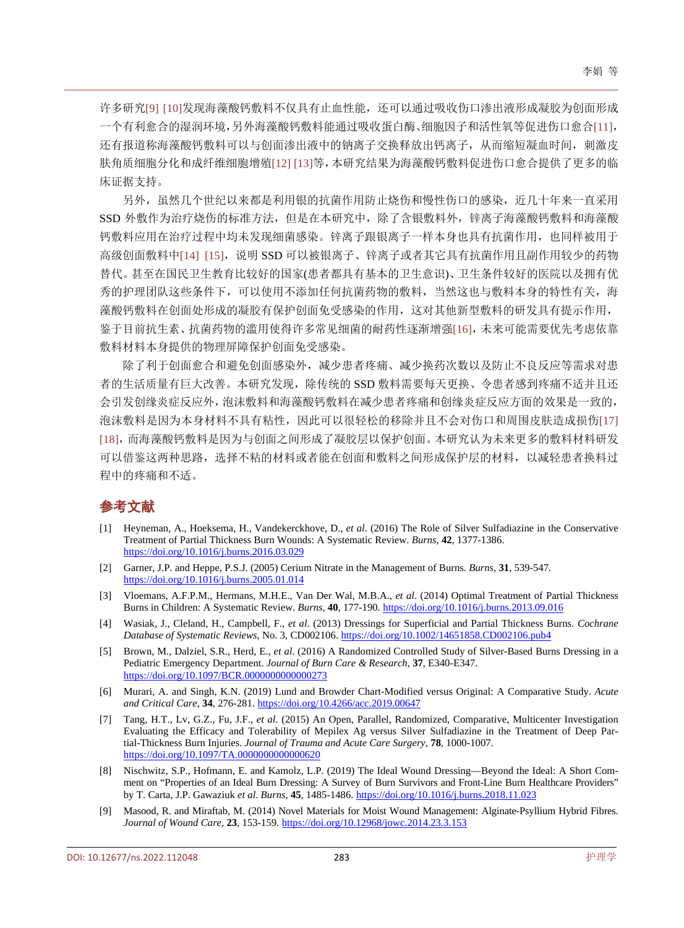许多研究[\[9\]](#page-4-8) [\[10\]](#page-5-0)发现海藻酸钙敷料不仅具有止血性能,还可以通过吸收伤口渗出液形成凝胶为创面形成 一个有利愈合的湿润环境,另外海藻酸钙敷料能通过吸收蛋白酶、细胞因子和活性氧等促进伤口愈合[\[11\]](#page-5-1), 还有报道称海藻酸钙敷料可以与创面渗出液中的钠离子交换释放出钙离子,从而缩短凝血时间,刺激皮 肤角质细胞分化和成纤维细胞增殖[\[12\]](#page-5-2) [\[13\]](#page-5-3)等,本研究结果为海藻酸钙敷料促进伤口愈合提供了更多的临 床证据支持。

另外,虽然几个世纪以来都是利用银的抗菌作用防止烧伤和慢性伤口的感染,近几十年来一直采用 SSD 外敷作为治疗烧伤的标准方法,但是在本研究中,除了含银敷料外,锌离子海藻酸钙敷料和海藻酸 钙敷料应用在治疗过程中均未发现细菌感染。锌离子跟银离子一样本身也具有抗菌作用,也同样被用于 高级创面敷料中[\[14\]](#page-5-4) [\[15\]](#page-5-5), 说明 SSD 可以被银离子、锌离子或者其它具有抗菌作用且副作用较少的药物 替代。甚至在国民卫生教育比较好的国家(患者都具有基本的卫生意识)、卫生条件较好的医院以及拥有优 秀的护理团队这些条件下,可以使用不添加任何抗菌药物的敷料,当然这也与敷料本身的特性有关,海 藻酸钙敷料在创面处形成的凝胶有保护创面免受感染的作用,这对其他新型敷料的研发具有提示作用, 鉴于目前抗生素、抗菌药物的滥用使得许多常见细菌的耐药性逐渐增强[\[16\]](#page-5-6),未来可能需要优先考虑依靠 敷料材料本身提供的物理屏障保护创面免受感染。

除了利于创面愈合和避免创面感染外,减少患者疼痛、减少换药次数以及防止不良反应等需求对患 者的生活质量有巨大改善。本研究发现,除传统的 SSD 敷料需要每天更换、令患者感到疼痛不适并且还 会引发创缘炎症反应外,泡沫敷料和海藻酸钙敷料在减少患者疼痛和创缘炎症反应方面的效果是一致的, 泡沫敷料是因为本身材料不具有粘性,因此可以很轻松的移除并且不会对伤口和周围皮肤造成损伤[\[17\]](#page-5-7) [\[18\]](#page-5-8),而海藻酸钙敷料是因为与创面之间形成了凝胶层以保护创面。本研究认为未来更多的敷料材料研发 可以借鉴这两种思路,选择不粘的材料或者能在创面和敷料之间形成保护层的材料,以减轻患者换料过 程中的疼痛和不适。

## 参考文献

- <span id="page-4-0"></span>[1] Heyneman, A., Hoeksema, H., Vandekerckhove, D., *et al*. (2016) The Role of Silver Sulfadiazine in the Conservative Treatment of Partial Thickness Burn Wounds: A Systematic Review. *Burns*, **42**, 1377-1386. <https://doi.org/10.1016/j.burns.2016.03.029>
- <span id="page-4-1"></span>[2] Garner, J.P. and Heppe, P.S.J. (2005) Cerium Nitrate in the Management of Burns. *Burns*, **31**, 539-547. <https://doi.org/10.1016/j.burns.2005.01.014>
- <span id="page-4-2"></span>[3] Vloemans, A.F.P.M., Hermans, M.H.E., Van Der Wal, M.B.A., *et al*. (2014) Optimal Treatment of Partial Thickness Burns in Children: A Systematic Review. *Burns*, **40**, 177-190. <https://doi.org/10.1016/j.burns.2013.09.016>
- <span id="page-4-3"></span>[4] Wasiak, J., Cleland, H., Campbell, F., *et al*. (2013) Dressings for Superficial and Partial Thickness Burns. *Cochrane Database of Systematic Reviews*, No. 3, CD002106. <https://doi.org/10.1002/14651858.CD002106.pub4>
- <span id="page-4-4"></span>[5] Brown, M., Dalziel, S.R., Herd, E., *et al*. (2016) A Randomized Controlled Study of Silver-Based Burns Dressing in a Pediatric Emergency Department. *Journal of Burn Care & Research*, **37**, E340-E347. <https://doi.org/10.1097/BCR.0000000000000273>
- <span id="page-4-5"></span>[6] Murari, A. and Singh, K.N. (2019) Lund and Browder Chart-Modified versus Original: A Comparative Study. *Acute and Critical Care*, **34**, 276-281. <https://doi.org/10.4266/acc.2019.00647>
- <span id="page-4-6"></span>[7] Tang, H.T., Lv, G.Z., Fu, J.F., *et al*. (2015) An Open, Parallel, Randomized, Comparative, Multicenter Investigation Evaluating the Efficacy and Tolerability of Mepilex Ag versus Silver Sulfadiazine in the Treatment of Deep Partial-Thickness Burn Injuries. *Journal of Trauma and Acute Care Surgery*, **78**, 1000-1007. <https://doi.org/10.1097/TA.0000000000000620>
- <span id="page-4-7"></span>[8] Nischwitz, S.P., Hofmann, E. and Kamolz, L.P. (2019) The Ideal Wound Dressing—Beyond the Ideal: A Short Comment on "Properties of an Ideal Burn Dressing: A Survey of Burn Survivors and Front-Line Burn Healthcare Providers" by T. Carta, J.P. Gawaziuk *et al*. *Burns*, **45**, 1485-1486. <https://doi.org/10.1016/j.burns.2018.11.023>
- <span id="page-4-8"></span>[9] Masood, R. and Miraftab, M. (2014) Novel Materials for Moist Wound Management: Alginate-Psyllium Hybrid Fibres. *Journal of Wound Care*, **23**, 153-159. <https://doi.org/10.12968/jowc.2014.23.3.153>